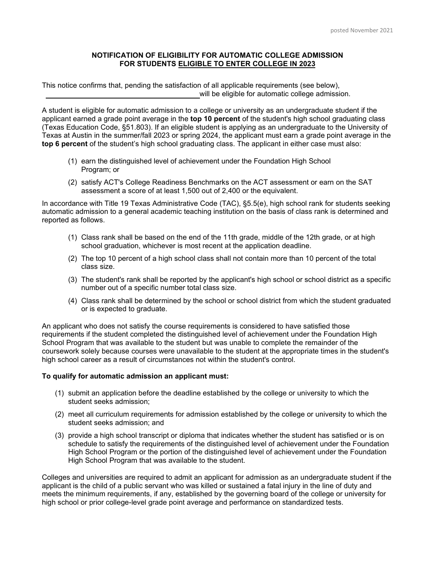## **NOTIFICATION OF ELIGIBILITY FOR AUTOMATIC COLLEGE ADMISSION FOR STUDENTS ELIGIBLE TO ENTER COLLEGE IN 2023**

This notice confirms that, pending the satisfaction of all applicable requirements (see below), will be eligible for automatic college admission.

A student is eligible for automatic admission to a college or university as an undergraduate student if the applicant earned a grade point average in the **top 10 percent** of the student's high school graduating class (Texas Education Code, §51.803). If an eligible student is applying as an undergraduate to the University of Texas at Austin in the summer/fall 2023 or spring 2024, the applicant must earn a grade point average in the **top 6 percent** of the student's high school graduating class. The applicant in either case must also:

- (1) earn the distinguished level of achievement under the Foundation High School Program; or
- (2) satisfy ACT's College Readiness Benchmarks on the ACT assessment or earn on the SAT assessment a score of at least 1,500 out of 2,400 or the equivalent.

In accordance with Title 19 Texas Administrative Code (TAC), §5.5(e), high school rank for students seeking automatic admission to a general academic teaching institution on the basis of class rank is determined and reported as follows.

- (1) Class rank shall be based on the end of the 11th grade, middle of the 12th grade, or at high school graduation, whichever is most recent at the application deadline.
- (2) The top 10 percent of a high school class shall not contain more than 10 percent of the total class size.
- (3) The student's rank shall be reported by the applicant's high school or school district as a specific number out of a specific number total class size.
- (4) Class rank shall be determined by the school or school district from which the student graduated or is expected to graduate.

An applicant who does not satisfy the course requirements is considered to have satisfied those requirements if the student completed the distinguished level of achievement under the Foundation High School Program that was available to the student but was unable to complete the remainder of the coursework solely because courses were unavailable to the student at the appropriate times in the student's high school career as a result of circumstances not within the student's control.

## **To qualify for automatic admission an applicant must:**

- (1) submit an application before the deadline established by the college or university to which the student seeks admission;
- (2) meet all curriculum requirements for admission established by the college or university to which the student seeks admission; and
- (3) provide a high school transcript or diploma that indicates whether the student has satisfied or is on schedule to satisfy the requirements of the distinguished level of achievement under the Foundation High School Program or the portion of the distinguished level of achievement under the Foundation High School Program that was available to the student.

Colleges and universities are required to admit an applicant for admission as an undergraduate student if the applicant is the child of a public servant who was killed or sustained a fatal injury in the line of duty and meets the minimum requirements, if any, established by the governing board of the college or university for high school or prior college-level grade point average and performance on standardized tests.